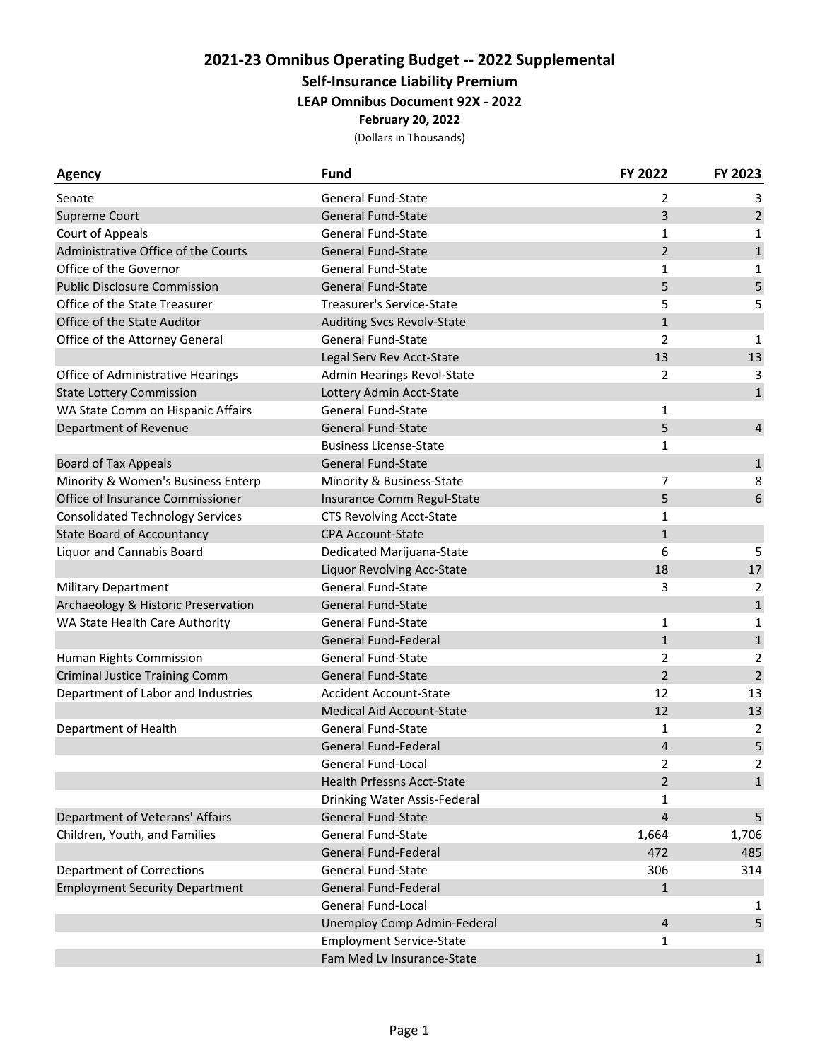## **2021‐23 Omnibus Operating Budget ‐‐ 2022 Supplemental Self‐Insurance Liability Premium LEAP Omnibus Document 92X ‐ 2022 February 20, 2022**

(Dollars in Thousands)

| <b>Agency</b>                           | <b>Fund</b>                       | FY 2022        | FY 2023                 |
|-----------------------------------------|-----------------------------------|----------------|-------------------------|
| Senate                                  | General Fund-State                | 2              | 3                       |
| Supreme Court                           | <b>General Fund-State</b>         | 3              | $\overline{2}$          |
| Court of Appeals                        | <b>General Fund-State</b>         | 1              | 1                       |
| Administrative Office of the Courts     | <b>General Fund-State</b>         | $\overline{2}$ | $\mathbf{1}$            |
| Office of the Governor                  | <b>General Fund-State</b>         | 1              | 1                       |
| <b>Public Disclosure Commission</b>     | <b>General Fund-State</b>         | 5              | 5                       |
| Office of the State Treasurer           | Treasurer's Service-State         | 5              | 5                       |
| Office of the State Auditor             | <b>Auditing Svcs Revolv-State</b> | $\mathbf{1}$   |                         |
| Office of the Attorney General          | <b>General Fund-State</b>         | $\overline{2}$ | 1                       |
|                                         | Legal Serv Rev Acct-State         | 13             | 13                      |
| Office of Administrative Hearings       | Admin Hearings Revol-State        | 2              | 3                       |
| <b>State Lottery Commission</b>         | Lottery Admin Acct-State          |                | $\mathbf{1}$            |
| WA State Comm on Hispanic Affairs       | <b>General Fund-State</b>         | 1              |                         |
| Department of Revenue                   | <b>General Fund-State</b>         | 5              | $\overline{\mathbf{4}}$ |
|                                         | <b>Business License-State</b>     | 1              |                         |
| <b>Board of Tax Appeals</b>             | <b>General Fund-State</b>         |                | $\mathbf 1$             |
| Minority & Women's Business Enterp      | Minority & Business-State         | 7              | 8                       |
| Office of Insurance Commissioner        | Insurance Comm Regul-State        | 5              | 6                       |
| <b>Consolidated Technology Services</b> | <b>CTS Revolving Acct-State</b>   | 1              |                         |
| <b>State Board of Accountancy</b>       | <b>CPA Account-State</b>          | $\mathbf{1}$   |                         |
| Liquor and Cannabis Board               | Dedicated Marijuana-State         | 6              | 5                       |
|                                         | Liquor Revolving Acc-State        | 18             | $17\,$                  |
| Military Department                     | <b>General Fund-State</b>         | 3              | $\overline{2}$          |
| Archaeology & Historic Preservation     | <b>General Fund-State</b>         |                | $\mathbf 1$             |
| WA State Health Care Authority          | <b>General Fund-State</b>         | $\mathbf{1}$   | 1                       |
|                                         | <b>General Fund-Federal</b>       | $\mathbf{1}$   | $\mathbf 1$             |
| Human Rights Commission                 | <b>General Fund-State</b>         | $\overline{2}$ | 2                       |
| <b>Criminal Justice Training Comm</b>   | <b>General Fund-State</b>         | $\overline{2}$ | $\overline{2}$          |
| Department of Labor and Industries      | <b>Accident Account-State</b>     | 12             | 13                      |
|                                         | <b>Medical Aid Account-State</b>  | 12             | 13                      |
| Department of Health                    | <b>General Fund-State</b>         | 1              | 2                       |
|                                         | <b>General Fund-Federal</b>       | 4              | 5                       |
|                                         | General Fund-Local                | $\mathfrak z$  | $\mathfrak{p}$          |
|                                         | Health Prfessns Acct-State        | $\overline{2}$ | $\mathbf{1}$            |
|                                         | Drinking Water Assis-Federal      | 1              |                         |
| Department of Veterans' Affairs         | <b>General Fund-State</b>         | $\overline{4}$ | 5                       |
| Children, Youth, and Families           | <b>General Fund-State</b>         | 1,664          | 1,706                   |
|                                         | General Fund-Federal              | 472            | 485                     |
| <b>Department of Corrections</b>        | <b>General Fund-State</b>         | 306            | 314                     |
| <b>Employment Security Department</b>   | <b>General Fund-Federal</b>       | $\mathbf{1}$   |                         |
|                                         | <b>General Fund-Local</b>         |                | 1                       |
|                                         | Unemploy Comp Admin-Federal       | 4              | 5                       |
|                                         | <b>Employment Service-State</b>   | 1              |                         |
|                                         | Fam Med Lv Insurance-State        |                | $\mathbf{1}$            |